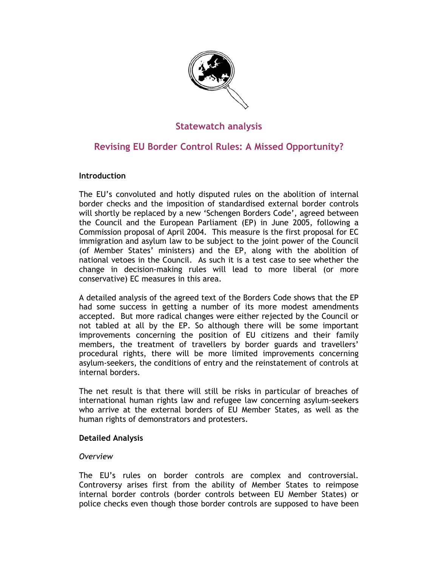

# **Statewatch analysis**

# **Revising EU Border Control Rules: A Missed Opportunity?**

# **Introduction**

The EU's convoluted and hotly disputed rules on the abolition of internal border checks and the imposition of standardised external border controls will shortly be replaced by a new 'Schengen Borders Code', agreed between the Council and the European Parliament (EP) in June 2005, following a Commission proposal of April 2004. This measure is the first proposal for EC immigration and asylum law to be subject to the joint power of the Council (of Member States' ministers) and the EP, along with the abolition of national vetoes in the Council. As such it is a test case to see whether the change in decision-making rules will lead to more liberal (or more conservative) EC measures in this area.

A detailed analysis of the agreed text of the Borders Code shows that the EP had some success in getting a number of its more modest amendments accepted. But more radical changes were either rejected by the Council or not tabled at all by the EP. So although there will be some important improvements concerning the position of EU citizens and their family members, the treatment of travellers by border guards and travellers' procedural rights, there will be more limited improvements concerning asylum-seekers, the conditions of entry and the reinstatement of controls at internal borders.

The net result is that there will still be risks in particular of breaches of international human rights law and refugee law concerning asylum-seekers who arrive at the external borders of EU Member States, as well as the human rights of demonstrators and protesters.

# **Detailed Analysis**

# *Overview*

The EU's rules on border controls are complex and controversial. Controversy arises first from the ability of Member States to reimpose internal border controls (border controls between EU Member States) or police checks even though those border controls are supposed to have been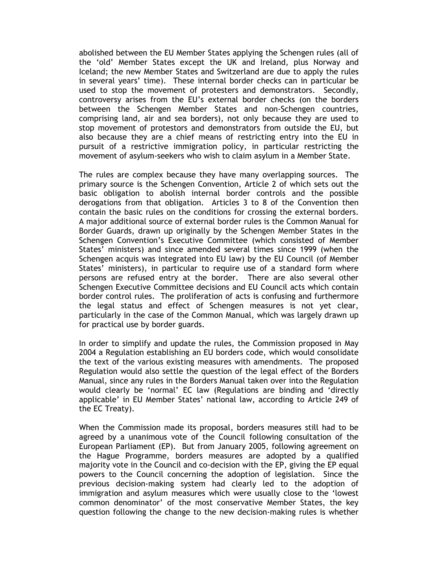abolished between the EU Member States applying the Schengen rules (all of the 'old' Member States except the UK and Ireland, plus Norway and Iceland; the new Member States and Switzerland are due to apply the rules in several years' time). These internal border checks can in particular be used to stop the movement of protesters and demonstrators. Secondly, controversy arises from the EU's external border checks (on the borders between the Schengen Member States and non-Schengen countries, comprising land, air and sea borders), not only because they are used to stop movement of protestors and demonstrators from outside the EU, but also because they are a chief means of restricting entry into the EU in pursuit of a restrictive immigration policy, in particular restricting the movement of asylum-seekers who wish to claim asylum in a Member State.

The rules are complex because they have many overlapping sources. The primary source is the Schengen Convention, Article 2 of which sets out the basic obligation to abolish internal border controls and the possible derogations from that obligation. Articles 3 to 8 of the Convention then contain the basic rules on the conditions for crossing the external borders. A major additional source of external border rules is the Common Manual for Border Guards, drawn up originally by the Schengen Member States in the Schengen Convention's Executive Committee (which consisted of Member States' ministers) and since amended several times since 1999 (when the Schengen acquis was integrated into EU law) by the EU Council (of Member States' ministers), in particular to require use of a standard form where persons are refused entry at the border. There are also several other Schengen Executive Committee decisions and EU Council acts which contain border control rules. The proliferation of acts is confusing and furthermore the legal status and effect of Schengen measures is not yet clear, particularly in the case of the Common Manual, which was largely drawn up for practical use by border guards.

In order to simplify and update the rules, the Commission proposed in May 2004 a Regulation establishing an EU borders code, which would consolidate the text of the various existing measures with amendments. The proposed Regulation would also settle the question of the legal effect of the Borders Manual, since any rules in the Borders Manual taken over into the Regulation would clearly be 'normal' EC law (Regulations are binding and 'directly applicable' in EU Member States' national law, according to Article 249 of the EC Treaty).

When the Commission made its proposal, borders measures still had to be agreed by a unanimous vote of the Council following consultation of the European Parliament (EP). But from January 2005, following agreement on the Hague Programme, borders measures are adopted by a qualified majority vote in the Council and co-decision with the EP, giving the EP equal powers to the Council concerning the adoption of legislation. Since the previous decision-making system had clearly led to the adoption of immigration and asylum measures which were usually close to the 'lowest common denominator' of the most conservative Member States, the key question following the change to the new decision-making rules is whether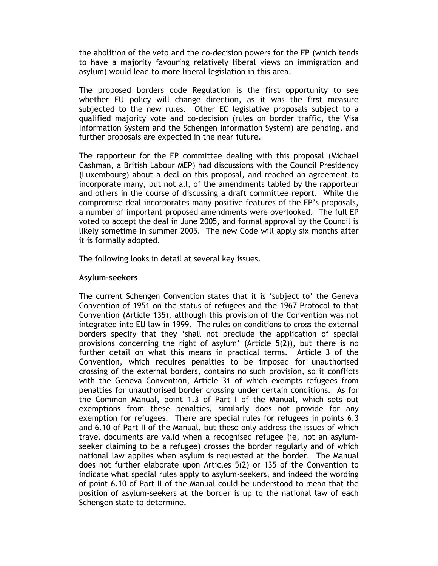the abolition of the veto and the co-decision powers for the EP (which tends to have a majority favouring relatively liberal views on immigration and asylum) would lead to more liberal legislation in this area.

The proposed borders code Regulation is the first opportunity to see whether EU policy will change direction, as it was the first measure subjected to the new rules. Other EC legislative proposals subject to a qualified majority vote and co-decision (rules on border traffic, the Visa Information System and the Schengen Information System) are pending, and further proposals are expected in the near future.

The rapporteur for the EP committee dealing with this proposal (Michael Cashman, a British Labour MEP) had discussions with the Council Presidency (Luxembourg) about a deal on this proposal, and reached an agreement to incorporate many, but not all, of the amendments tabled by the rapporteur and others in the course of discussing a draft committee report. While the compromise deal incorporates many positive features of the EP's proposals, a number of important proposed amendments were overlooked. The full EP voted to accept the deal in June 2005, and formal approval by the Council is likely sometime in summer 2005. The new Code will apply six months after it is formally adopted.

The following looks in detail at several key issues.

## **Asylum-seekers**

The current Schengen Convention states that it is 'subject to' the Geneva Convention of 1951 on the status of refugees and the 1967 Protocol to that Convention (Article 135), although this provision of the Convention was not integrated into EU law in 1999. The rules on conditions to cross the external borders specify that they 'shall not preclude the application of special provisions concerning the right of asylum' (Article 5(2)), but there is no further detail on what this means in practical terms. Article 3 of the Convention, which requires penalties to be imposed for unauthorised crossing of the external borders, contains no such provision, so it conflicts with the Geneva Convention, Article 31 of which exempts refugees from penalties for unauthorised border crossing under certain conditions. As for the Common Manual, point 1.3 of Part I of the Manual, which sets out exemptions from these penalties, similarly does not provide for any exemption for refugees. There are special rules for refugees in points 6.3 and 6.10 of Part II of the Manual, but these only address the issues of which travel documents are valid when a recognised refugee (ie, not an asylumseeker claiming to be a refugee) crosses the border regularly and of which national law applies when asylum is requested at the border. The Manual does not further elaborate upon Articles 5(2) or 135 of the Convention to indicate what special rules apply to asylum-seekers, and indeed the wording of point 6.10 of Part II of the Manual could be understood to mean that the position of asylum-seekers at the border is up to the national law of each Schengen state to determine.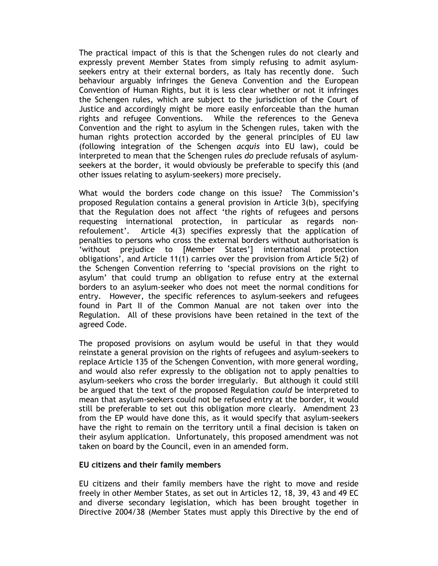The practical impact of this is that the Schengen rules do not clearly and expressly prevent Member States from simply refusing to admit asylumseekers entry at their external borders, as Italy has recently done. Such behaviour arguably infringes the Geneva Convention and the European Convention of Human Rights, but it is less clear whether or not it infringes the Schengen rules, which are subject to the jurisdiction of the Court of Justice and accordingly might be more easily enforceable than the human rights and refugee Conventions. While the references to the Geneva Convention and the right to asylum in the Schengen rules, taken with the human rights protection accorded by the general principles of EU law (following integration of the Schengen *acquis* into EU law), could be interpreted to mean that the Schengen rules *do* preclude refusals of asylumseekers at the border, it would obviously be preferable to specify this (and other issues relating to asylum-seekers) more precisely.

What would the borders code change on this issue? The Commission's proposed Regulation contains a general provision in Article 3(b), specifying that the Regulation does not affect 'the rights of refugees and persons requesting international protection, in particular as regards nonrefoulement'. Article 4(3) specifies expressly that the application of penalties to persons who cross the external borders without authorisation is 'without prejudice to [Member States'] international protection obligations', and Article 11(1) carries over the provision from Article 5(2) of the Schengen Convention referring to 'special provisions on the right to asylum' that could trump an obligation to refuse entry at the external borders to an asylum-seeker who does not meet the normal conditions for entry. However, the specific references to asylum-seekers and refugees found in Part II of the Common Manual are not taken over into the Regulation. All of these provisions have been retained in the text of the agreed Code.

The proposed provisions on asylum would be useful in that they would reinstate a general provision on the rights of refugees and asylum-seekers to replace Article 135 of the Schengen Convention, with more general wording, and would also refer expressly to the obligation not to apply penalties to asylum-seekers who cross the border irregularly. But although it could still be argued that the text of the proposed Regulation *could* be interpreted to mean that asylum-seekers could not be refused entry at the border, it would still be preferable to set out this obligation more clearly. Amendment 23 from the EP would have done this, as it would specify that asylum-seekers have the right to remain on the territory until a final decision is taken on their asylum application. Unfortunately, this proposed amendment was not taken on board by the Council, even in an amended form.

#### **EU citizens and their family members**

EU citizens and their family members have the right to move and reside freely in other Member States, as set out in Articles 12, 18, 39, 43 and 49 EC and diverse secondary legislation, which has been brought together in Directive 2004/38 (Member States must apply this Directive by the end of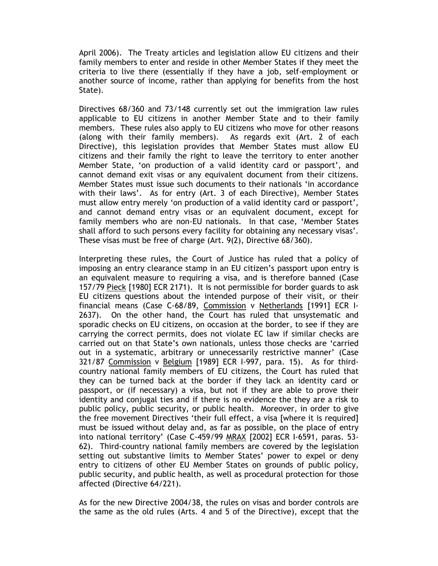April 2006). The Treaty articles and legislation allow EU citizens and their family members to enter and reside in other Member States if they meet the criteria to live there (essentially if they have a job, self-employment or another source of income, rather than applying for benefits from the host State).

Directives 68/360 and 73/148 currently set out the immigration law rules applicable to EU citizens in another Member State and to their family members. These rules also apply to EU citizens who move for other reasons (along with their family members). As regards exit (Art. 2 of each Directive), this legislation provides that Member States must allow EU citizens and their family the right to leave the territory to enter another Member State, 'on production of a valid identity card or passport', and cannot demand exit visas or any equivalent document from their citizens. Member States must issue such documents to their nationals 'in accordance with their laws'. As for entry (Art. 3 of each Directive), Member States must allow entry merely 'on production of a valid identity card or passport', and cannot demand entry visas or an equivalent document, except for family members who are non-EU nationals. In that case, 'Member States shall afford to such persons every facility for obtaining any necessary visas'. These visas must be free of charge (Art. 9(2), Directive 68/360).

Interpreting these rules, the Court of Justice has ruled that a policy of imposing an entry clearance stamp in an EU citizen's passport upon entry is an equivalent measure to requiring a visa, and is therefore banned (Case 157/79 Pieck [1980] ECR 2171). It is not permissible for border guards to ask EU citizens questions about the intended purpose of their visit, or their financial means (Case C-68/89, Commission v Netherlands [1991] ECR I-2637). On the other hand, the Court has ruled that unsystematic and sporadic checks on EU citizens, on occasion at the border, to see if they are carrying the correct permits, does not violate EC law if similar checks are carried out on that State's own nationals, unless those checks are 'carried out in a systematic, arbitrary or unnecessarily restrictive manner' (Case 321/87 Commission v Belgium [1989] ECR I-997, para. 15). As for thirdcountry national family members of EU citizens, the Court has ruled that they can be turned back at the border if they lack an identity card or passport, or (if necessary) a visa, but not if they are able to prove their identity and conjugal ties and if there is no evidence the they are a risk to public policy, public security, or public health. Moreover, in order to give the free movement Directives 'their full effect, a visa [where it is required] must be issued without delay and, as far as possible, on the place of entry into national territory' (Case C-459/99 MRAX [2002] ECR I-6591, paras. 53- 62). Third-country national family members are covered by the legislation setting out substantive limits to Member States' power to expel or deny entry to citizens of other EU Member States on grounds of public policy, public security, and public health, as well as procedural protection for those affected (Directive 64/221).

As for the new Directive 2004/38, the rules on visas and border controls are the same as the old rules (Arts. 4 and 5 of the Directive), except that the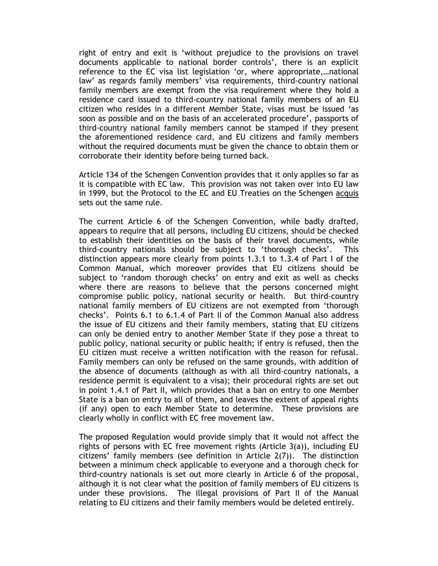right of entry and exit is 'without prejudice to the provisions on travel documents applicable to national border controls', there is an explicit reference to the EC visa list legislation 'or, where appropriate,…national law' as regards family members' visa requirements, third-country national family members are exempt from the visa requirement where they hold a residence card issued to third-country national family members of an EU citizen who resides in a different Member State, visas must be issued 'as soon as possible and on the basis of an accelerated procedure', passports of third-country national family members cannot be stamped if they present the aforementioned residence card, and EU citizens and family members without the required documents must be given the chance to obtain them or corroborate their identity before being turned back.

Article 134 of the Schengen Convention provides that it only applies so far as it is compatible with EC law. This provision was not taken over into EU law in 1999, but the Protocol to the EC and EU Treaties on the Schengen acquis sets out the same rule.

The current Article 6 of the Schengen Convention, while badly drafted, appears to require that all persons, including EU citizens, should be checked to establish their identities on the basis of their travel documents, while third-country nationals should be subject to 'thorough checks'. This distinction appears more clearly from points 1.3.1 to 1.3.4 of Part I of the Common Manual, which moreover provides that EU citizens should be subject to 'random thorough checks' on entry and exit as well as checks where there are reasons to believe that the persons concerned might compromise public policy, national security or health. But third-country national family members of EU citizens are not exempted from 'thorough checks'. Points 6.1 to 6.1.4 of Part II of the Common Manual also address the issue of EU citizens and their family members, stating that EU citizens can only be denied entry to another Member State if they pose a threat to public policy, national security or public health; if entry is refused, then the EU citizen must receive a written notification with the reason for refusal. Family members can only be refused on the same grounds, with addition of the absence of documents (although as with all third-country nationals, a residence permit is equivalent to a visa); their procedural rights are set out in point 1.4.1 of Part II, which provides that a ban on entry to one Member State is a ban on entry to all of them, and leaves the extent of appeal rights (if any) open to each Member State to determine. These provisions are clearly wholly in conflict with EC free movement law.

The proposed Regulation would provide simply that it would not affect the rights of persons with EC free movement rights (Article 3(a)), including EU citizens' family members (see definition in Article 2(7)). The distinction between a minimum check applicable to everyone and a thorough check for third-country nationals is set out more clearly in Article 6 of the proposal, although it is not clear what the position of family members of EU citizens is under these provisions. The illegal provisions of Part II of the Manual relating to EU citizens and their family members would be deleted entirely.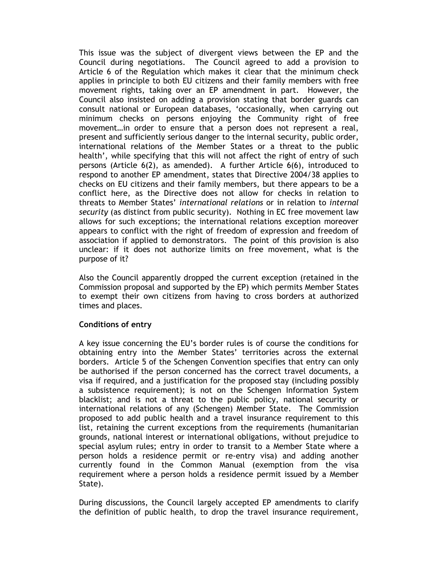This issue was the subject of divergent views between the EP and the Council during negotiations. The Council agreed to add a provision to Article 6 of the Regulation which makes it clear that the minimum check applies in principle to both EU citizens and their family members with free movement rights, taking over an EP amendment in part. However, the Council also insisted on adding a provision stating that border guards can consult national or European databases, 'occasionally, when carrying out minimum checks on persons enjoying the Community right of free movement…in order to ensure that a person does not represent a real, present and sufficiently serious danger to the internal security, public order, international relations of the Member States or a threat to the public health', while specifying that this will not affect the right of entry of such persons (Article 6(2), as amended). A further Article 6(6), introduced to respond to another EP amendment, states that Directive 2004/38 applies to checks on EU citizens and their family members, but there appears to be a conflict here, as the Directive does not allow for checks in relation to threats to Member States' *international relations* or in relation to *internal security* (as distinct from public security). Nothing in EC free movement law allows for such exceptions; the international relations exception moreover appears to conflict with the right of freedom of expression and freedom of association if applied to demonstrators. The point of this provision is also unclear: if it does not authorize limits on free movement, what is the purpose of it?

Also the Council apparently dropped the current exception (retained in the Commission proposal and supported by the EP) which permits Member States to exempt their own citizens from having to cross borders at authorized times and places.

#### **Conditions of entry**

A key issue concerning the EU's border rules is of course the conditions for obtaining entry into the Member States' territories across the external borders. Article 5 of the Schengen Convention specifies that entry can only be authorised if the person concerned has the correct travel documents, a visa if required, and a justification for the proposed stay (including possibly a subsistence requirement); is not on the Schengen Information System blacklist; and is not a threat to the public policy, national security or international relations of any (Schengen) Member State. The Commission proposed to add public health and a travel insurance requirement to this list, retaining the current exceptions from the requirements (humanitarian grounds, national interest or international obligations, without prejudice to special asylum rules; entry in order to transit to a Member State where a person holds a residence permit or re-entry visa) and adding another currently found in the Common Manual (exemption from the visa requirement where a person holds a residence permit issued by a Member State).

During discussions, the Council largely accepted EP amendments to clarify the definition of public health, to drop the travel insurance requirement,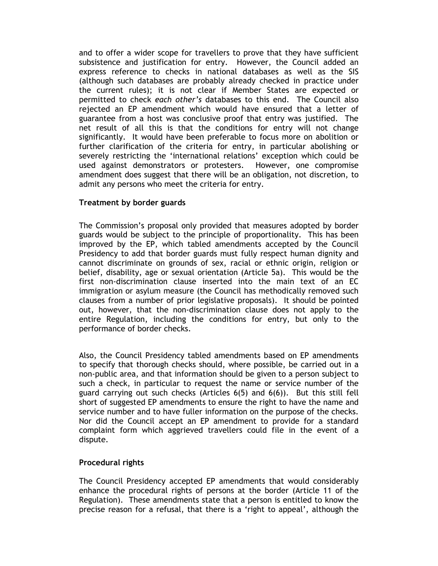and to offer a wider scope for travellers to prove that they have sufficient subsistence and justification for entry. However, the Council added an express reference to checks in national databases as well as the SIS (although such databases are probably already checked in practice under the current rules); it is not clear if Member States are expected or permitted to check *each other's* databases to this end. The Council also rejected an EP amendment which would have ensured that a letter of guarantee from a host was conclusive proof that entry was justified. The net result of all this is that the conditions for entry will not change significantly. It would have been preferable to focus more on abolition or further clarification of the criteria for entry, in particular abolishing or severely restricting the 'international relations' exception which could be used against demonstrators or protesters. However, one compromise amendment does suggest that there will be an obligation, not discretion, to admit any persons who meet the criteria for entry.

# **Treatment by border guards**

The Commission's proposal only provided that measures adopted by border guards would be subject to the principle of proportionality. This has been improved by the EP, which tabled amendments accepted by the Council Presidency to add that border guards must fully respect human dignity and cannot discriminate on grounds of sex, racial or ethnic origin, religion or belief, disability, age or sexual orientation (Article 5a). This would be the first non-discrimination clause inserted into the main text of an EC immigration or asylum measure (the Council has methodically removed such clauses from a number of prior legislative proposals). It should be pointed out, however, that the non-discrimination clause does not apply to the entire Regulation, including the conditions for entry, but only to the performance of border checks.

Also, the Council Presidency tabled amendments based on EP amendments to specify that thorough checks should, where possible, be carried out in a non-public area, and that information should be given to a person subject to such a check, in particular to request the name or service number of the guard carrying out such checks (Articles 6(5) and 6(6)). But this still fell short of suggested EP amendments to ensure the right to have the name and service number and to have fuller information on the purpose of the checks. Nor did the Council accept an EP amendment to provide for a standard complaint form which aggrieved travellers could file in the event of a dispute.

# **Procedural rights**

The Council Presidency accepted EP amendments that would considerably enhance the procedural rights of persons at the border (Article 11 of the Regulation). These amendments state that a person is entitled to know the precise reason for a refusal, that there is a 'right to appeal', although the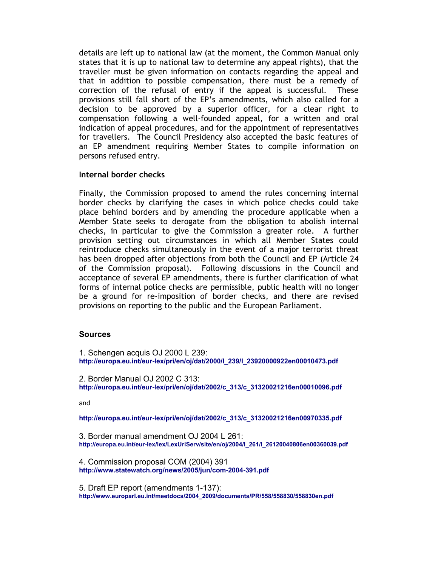details are left up to national law (at the moment, the Common Manual only states that it is up to national law to determine any appeal rights), that the traveller must be given information on contacts regarding the appeal and that in addition to possible compensation, there must be a remedy of correction of the refusal of entry if the appeal is successful. These provisions still fall short of the EP's amendments, which also called for a decision to be approved by a superior officer, for a clear right to compensation following a well-founded appeal, for a written and oral indication of appeal procedures, and for the appointment of representatives for travellers. The Council Presidency also accepted the basic features of an EP amendment requiring Member States to compile information on persons refused entry.

## **Internal border checks**

Finally, the Commission proposed to amend the rules concerning internal border checks by clarifying the cases in which police checks could take place behind borders and by amending the procedure applicable when a Member State seeks to derogate from the obligation to abolish internal checks, in particular to give the Commission a greater role. A further provision setting out circumstances in which all Member States could reintroduce checks simultaneously in the event of a major terrorist threat has been dropped after objections from both the Council and EP (Article 24 of the Commission proposal). Following discussions in the Council and acceptance of several EP amendments, there is further clarification of what forms of internal police checks are permissible, public health will no longer be a ground for re-imposition of border checks, and there are revised provisions on reporting to the public and the European Parliament.

#### **Sources**

1. Schengen acquis OJ 2000 L 239: **[http://europa.eu.int/eur-lex/pri/en/oj/dat/2000/l\\_239/l\\_23920000922en00010473.pdf](http://europa.eu.int/eur-lex/pri/en/oj/dat/2000/l_239/l_23920000922en00010473.pdf)** 

2. Border Manual OJ 2002 C 313: **[http://europa.eu.int/eur-lex/pri/en/oj/dat/2002/c\\_313/c\\_31320021216en00010096.pdf](http://europa.eu.int/eur-lex/pri/en/oj/dat/2002/c_313/c_31320021216en00010096.pdf)** 

and

**[http://europa.eu.int/eur-lex/pri/en/oj/dat/2002/c\\_313/c\\_31320021216en00970335.pdf](http://europa.eu.int/eur-lex/pri/en/oj/dat/2002/c_313/c_31320021216en00970335.pdf)** 

3. Border manual amendment OJ 2004 L 261: **[http://europa.eu.int/eur-lex/lex/LexUriServ/site/en/oj/2004/l\\_261/l\\_26120040806en00360039.pdf](http://europa.eu.int/eur-lex/lex/LexUriServ/site/en/oj/2004/l_261/l_26120040806en00360039.pdf)** 

4. Commission proposal COM (2004) 391 **<http://www.statewatch.org/news/2005/jun/com-2004-391.pdf>** 

5. Draft EP report (amendments 1-137): **[http://www.europarl.eu.int/meetdocs/2004\\_2009/documents/PR/558/558830/558830en.pdf](http://www.europarl.eu.int/meetdocs/2004_2009/documents/PR/558/558830/558830en.pdf)**